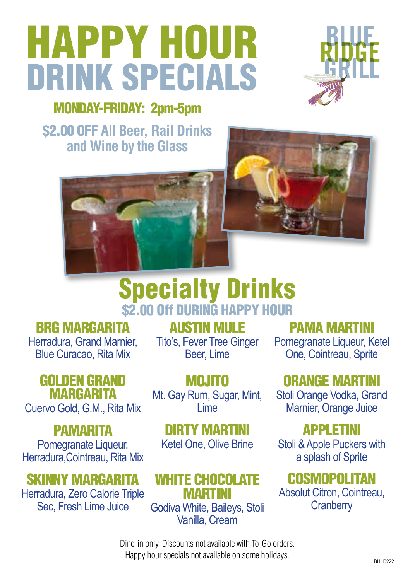# HAPPY HOUR DRINK SPECIALS



## MONDAY-FRIDAY: 2pm-5pm

\$2.00 OFF **All Beer, Rail Drinks and Wine by the Glass**





# Specialty Drinks \$2.00 Off DURING HAPPY HOUR

### BRG MARGARITA

Herradura, Grand Marnier, Blue Curacao, Rita Mix

## GOLDEN GRAND **MARGARITA**

Cuervo Gold, G.M., Rita Mix

# **PAMARITA**

Pomegranate Liqueur, Herradura,Cointreau, Rita Mix

# SKINNY MARGARITA

Herradura, Zero Calorie Triple Sec, Fresh Lime Juice

AUSTIN MULE

Tito's, Fever Tree Ginger Beer, Lime

MOJITO Mt. Gay Rum, Sugar, Mint, Lime

#### DIRTY MARTINI Ketel One, Olive Brine

# WHITE CHOCOLATE

MARTINI Godiva White, Baileys, Stoli Vanilla, Cream

## PAMA MARTINI

Pomegranate Liqueur, Ketel One, Cointreau, Sprite

# ORANGE MARTINI

Stoli Orange Vodka, Grand Marnier, Orange Juice

# APPLETINI

Stoli & Apple Puckers with a splash of Sprite

# **COSMOPOLITAN**

Absolut Citron, Cointreau, **Cranberry** 

Dine-in only. Discounts not available with To-Go orders. Happy hour specials not available on some holidays.